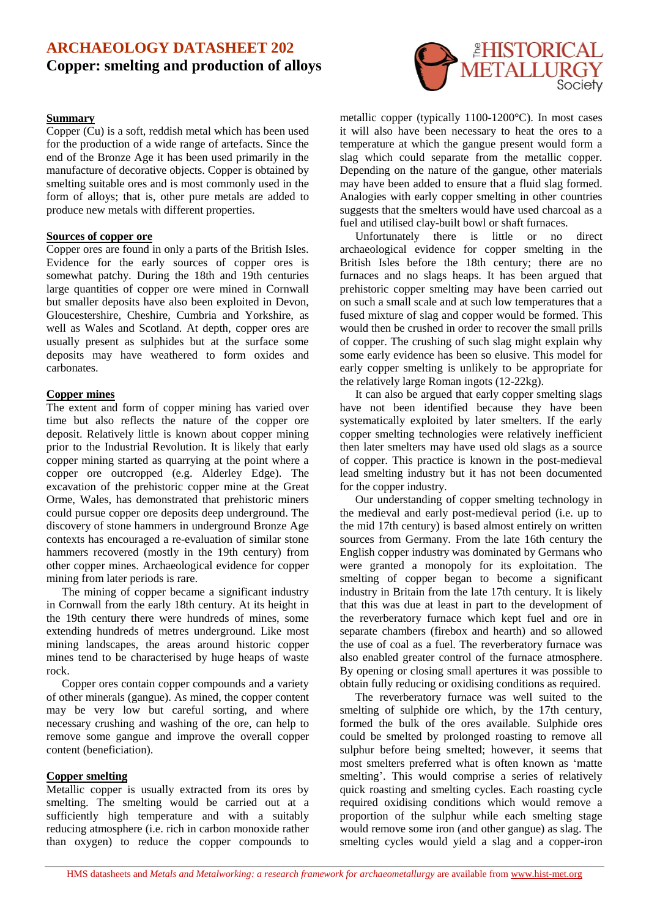# **ARCHAEOLOGY DATASHEET 202 Copper: smelting and production of alloys**

### **Summary**

Copper (Cu) is a soft, reddish metal which has been used for the production of a wide range of artefacts. Since the end of the Bronze Age it has been used primarily in the manufacture of decorative objects. Copper is obtained by smelting suitable ores and is most commonly used in the form of alloys; that is, other pure metals are added to produce new metals with different properties.

### **Sources of copper ore**

Copper ores are found in only a parts of the British Isles. Evidence for the early sources of copper ores is somewhat patchy. During the 18th and 19th centuries large quantities of copper ore were mined in Cornwall but smaller deposits have also been exploited in Devon, Gloucestershire, Cheshire, Cumbria and Yorkshire, as well as Wales and Scotland. At depth, copper ores are usually present as sulphides but at the surface some deposits may have weathered to form oxides and carbonates.

#### **Copper mines**

The extent and form of copper mining has varied over time but also reflects the nature of the copper ore deposit. Relatively little is known about copper mining prior to the Industrial Revolution. It is likely that early copper mining started as quarrying at the point where a copper ore outcropped (e.g. Alderley Edge). The excavation of the prehistoric copper mine at the Great Orme, Wales, has demonstrated that prehistoric miners could pursue copper ore deposits deep underground. The discovery of stone hammers in underground Bronze Age contexts has encouraged a re-evaluation of similar stone hammers recovered (mostly in the 19th century) from other copper mines. Archaeological evidence for copper mining from later periods is rare.

The mining of copper became a significant industry in Cornwall from the early 18th century. At its height in the 19th century there were hundreds of mines, some extending hundreds of metres underground. Like most mining landscapes, the areas around historic copper mines tend to be characterised by huge heaps of waste rock.

Copper ores contain copper compounds and a variety of other minerals (gangue). As mined, the copper content may be very low but careful sorting, and where necessary crushing and washing of the ore, can help to remove some gangue and improve the overall copper content (beneficiation).

### **Copper smelting**

Metallic copper is usually extracted from its ores by smelting. The smelting would be carried out at a sufficiently high temperature and with a suitably reducing atmosphere (i.e. rich in carbon monoxide rather than oxygen) to reduce the copper compounds to



metallic copper (typically 1100-1200°C). In most cases it will also have been necessary to heat the ores to a temperature at which the gangue present would form a slag which could separate from the metallic copper. Depending on the nature of the gangue, other materials may have been added to ensure that a fluid slag formed. Analogies with early copper smelting in other countries suggests that the smelters would have used charcoal as a fuel and utilised clay-built bowl or shaft furnaces.

Unfortunately there is little or no direct archaeological evidence for copper smelting in the British Isles before the 18th century; there are no furnaces and no slags heaps. It has been argued that prehistoric copper smelting may have been carried out on such a small scale and at such low temperatures that a fused mixture of slag and copper would be formed. This would then be crushed in order to recover the small prills of copper. The crushing of such slag might explain why some early evidence has been so elusive. This model for early copper smelting is unlikely to be appropriate for the relatively large Roman ingots (12-22kg).

It can also be argued that early copper smelting slags have not been identified because they have been systematically exploited by later smelters. If the early copper smelting technologies were relatively inefficient then later smelters may have used old slags as a source of copper. This practice is known in the post-medieval lead smelting industry but it has not been documented for the copper industry.

Our understanding of copper smelting technology in the medieval and early post-medieval period (i.e. up to the mid 17th century) is based almost entirely on written sources from Germany. From the late 16th century the English copper industry was dominated by Germans who were granted a monopoly for its exploitation. The smelting of copper began to become a significant industry in Britain from the late 17th century. It is likely that this was due at least in part to the development of the reverberatory furnace which kept fuel and ore in separate chambers (firebox and hearth) and so allowed the use of coal as a fuel. The reverberatory furnace was also enabled greater control of the furnace atmosphere. By opening or closing small apertures it was possible to obtain fully reducing or oxidising conditions as required.

The reverberatory furnace was well suited to the smelting of sulphide ore which, by the 17th century, formed the bulk of the ores available. Sulphide ores could be smelted by prolonged roasting to remove all sulphur before being smelted; however, it seems that most smelters preferred what is often known as 'matte smelting'. This would comprise a series of relatively quick roasting and smelting cycles. Each roasting cycle required oxidising conditions which would remove a proportion of the sulphur while each smelting stage would remove some iron (and other gangue) as slag. The smelting cycles would yield a slag and a copper-iron